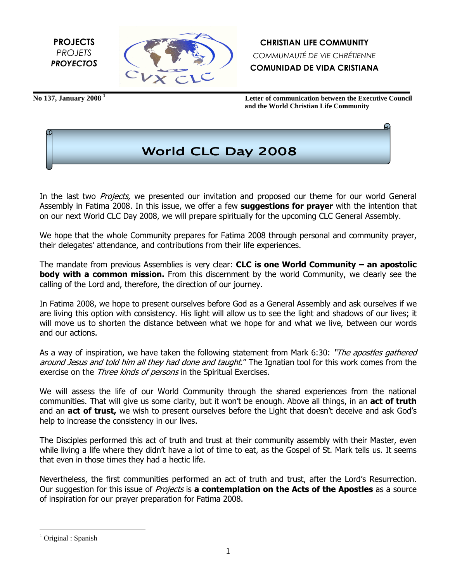PROJECTS PROJETS **PROYECTOS** 



**No 137, January 2008 <sup>1</sup>**

 **Letter of communication between the Executive Council and the World Christian Life Community**



In the last two *Projects*, we presented our invitation and proposed our theme for our world General Assembly in Fatima 2008. In this issue, we offer a few suggestions for prayer with the intention that on our next World CLC Day 2008, we will prepare spiritually for the upcoming CLC General Assembly.

We hope that the whole Community prepares for Fatima 2008 through personal and community prayer, their delegates' attendance, and contributions from their life experiences.

The mandate from previous Assemblies is very clear: **CLC is one World Community – an apostolic** body with a common mission. From this discernment by the world Community, we clearly see the calling of the Lord and, therefore, the direction of our journey.

In Fatima 2008, we hope to present ourselves before God as a General Assembly and ask ourselves if we are living this option with consistency. His light will allow us to see the light and shadows of our lives; it will move us to shorten the distance between what we hope for and what we live, between our words and our actions.

As a way of inspiration, we have taken the following statement from Mark 6:30: "The apostles gathered around Jesus and told him all they had done and taught." The Ignatian tool for this work comes from the exercise on the Three kinds of persons in the Spiritual Exercises.

We will assess the life of our World Community through the shared experiences from the national communities. That will give us some clarity, but it won't be enough. Above all things, in an **act of truth** and an **act of trust,** we wish to present ourselves before the Light that doesn't deceive and ask God's help to increase the consistency in our lives.

The Disciples performed this act of truth and trust at their community assembly with their Master, even while living a life where they didn't have a lot of time to eat, as the Gospel of St. Mark tells us. It seems that even in those times they had a hectic life.

Nevertheless, the first communities performed an act of truth and trust, after the Lord's Resurrection. Our suggestion for this issue of Projects is a contemplation on the Acts of the Apostles as a source of inspiration for our prayer preparation for Fatima 2008.

<u>.</u>

<sup>1</sup> Original : Spanish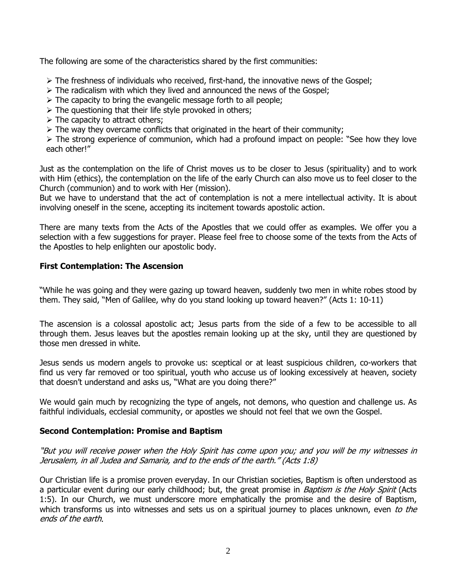The following are some of the characteristics shared by the first communities:

- The freshness of individuals who received, first-hand, the innovative news of the Gospel;
- $\triangleright$  The radicalism with which they lived and announced the news of the Gospel;
- $\triangleright$  The capacity to bring the evangelic message forth to all people;
- $\triangleright$  The questioning that their life style provoked in others;
- $\triangleright$  The capacity to attract others;
- $\triangleright$  The way they overcame conflicts that originated in the heart of their community;

 $\triangleright$  The strong experience of communion, which had a profound impact on people: "See how they love each other!"

Just as the contemplation on the life of Christ moves us to be closer to Jesus (spirituality) and to work with Him (ethics), the contemplation on the life of the early Church can also move us to feel closer to the Church (communion) and to work with Her (mission).

But we have to understand that the act of contemplation is not a mere intellectual activity. It is about involving oneself in the scene, accepting its incitement towards apostolic action.

There are many texts from the Acts of the Apostles that we could offer as examples. We offer you a selection with a few suggestions for prayer. Please feel free to choose some of the texts from the Acts of the Apostles to help enlighten our apostolic body.

## First Contemplation: The Ascension

"While he was going and they were gazing up toward heaven, suddenly two men in white robes stood by them. They said, "Men of Galilee, why do you stand looking up toward heaven?" (Acts 1: 10-11)

The ascension is a colossal apostolic act; Jesus parts from the side of a few to be accessible to all through them. Jesus leaves but the apostles remain looking up at the sky, until they are questioned by those men dressed in white.

Jesus sends us modern angels to provoke us: sceptical or at least suspicious children, co-workers that find us very far removed or too spiritual, youth who accuse us of looking excessively at heaven, society that doesn't understand and asks us, "What are you doing there?"

We would gain much by recognizing the type of angels, not demons, who question and challenge us. As faithful individuals, ecclesial community, or apostles we should not feel that we own the Gospel.

### Second Contemplation: Promise and Baptism

"But you will receive power when the Holy Spirit has come upon you; and you will be my witnesses in Jerusalem, in all Judea and Samaria, and to the ends of the earth." (Acts 1:8)

Our Christian life is a promise proven everyday. In our Christian societies, Baptism is often understood as a particular event during our early childhood; but, the great promise in *Baptism is the Holy Spirit* (Acts 1:5). In our Church, we must underscore more emphatically the promise and the desire of Baptism, which transforms us into witnesses and sets us on a spiritual journey to places unknown, even to the ends of the earth.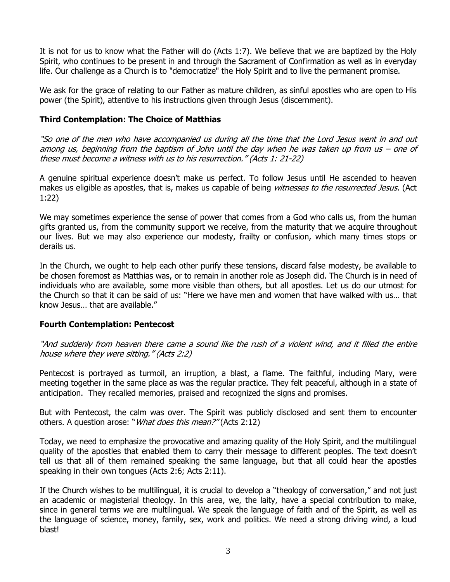It is not for us to know what the Father will do (Acts 1:7). We believe that we are baptized by the Holy Spirit, who continues to be present in and through the Sacrament of Confirmation as well as in everyday life. Our challenge as a Church is to "democratize" the Holy Spirit and to live the permanent promise.

We ask for the grace of relating to our Father as mature children, as sinful apostles who are open to His power (the Spirit), attentive to his instructions given through Jesus (discernment).

# Third Contemplation: The Choice of Matthias

"So one of the men who have accompanied us during all the time that the Lord Jesus went in and out among us, beginning from the baptism of John until the day when he was taken up from us – one of these must become a witness with us to his resurrection." (Acts 1: 21-22)

A genuine spiritual experience doesn't make us perfect. To follow Jesus until He ascended to heaven makes us eligible as apostles, that is, makes us capable of being witnesses to the resurrected Jesus. (Act 1:22)

We may sometimes experience the sense of power that comes from a God who calls us, from the human gifts granted us, from the community support we receive, from the maturity that we acquire throughout our lives. But we may also experience our modesty, frailty or confusion, which many times stops or derails us.

In the Church, we ought to help each other purify these tensions, discard false modesty, be available to be chosen foremost as Matthias was, or to remain in another role as Joseph did. The Church is in need of individuals who are available, some more visible than others, but all apostles. Let us do our utmost for the Church so that it can be said of us: "Here we have men and women that have walked with us… that know Jesus… that are available."

### Fourth Contemplation: Pentecost

"And suddenly from heaven there came a sound like the rush of a violent wind, and it filled the entire house where they were sitting." (Acts 2:2)

Pentecost is portrayed as turmoil, an irruption, a blast, a flame. The faithful, including Mary, were meeting together in the same place as was the regular practice. They felt peaceful, although in a state of anticipation. They recalled memories, praised and recognized the signs and promises.

But with Pentecost, the calm was over. The Spirit was publicly disclosed and sent them to encounter others. A question arose: "*What does this mean?"* (Acts 2:12)

Today, we need to emphasize the provocative and amazing quality of the Holy Spirit, and the multilingual quality of the apostles that enabled them to carry their message to different peoples. The text doesn't tell us that all of them remained speaking the same language, but that all could hear the apostles speaking in their own tongues (Acts 2:6; Acts 2:11).

If the Church wishes to be multilingual, it is crucial to develop a "theology of conversation," and not just an academic or magisterial theology. In this area, we, the laity, have a special contribution to make, since in general terms we are multilingual. We speak the language of faith and of the Spirit, as well as the language of science, money, family, sex, work and politics. We need a strong driving wind, a loud blast!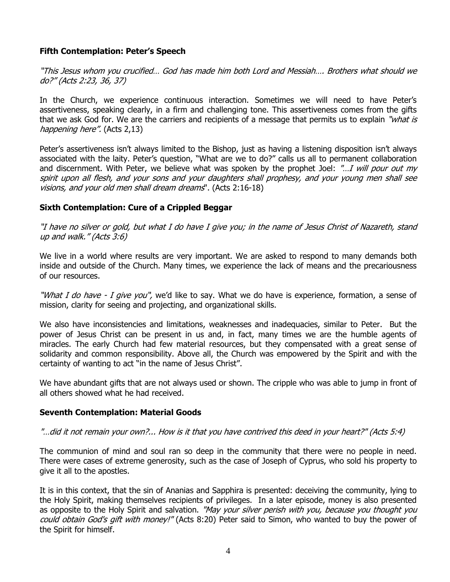# Fifth Contemplation: Peter's Speech

"This Jesus whom you crucified… God has made him both Lord and Messiah…. Brothers what should we do?" (Acts 2:23, 36, 37)

In the Church, we experience continuous interaction. Sometimes we will need to have Peter's assertiveness, speaking clearly, in a firm and challenging tone. This assertiveness comes from the gifts that we ask God for. We are the carriers and recipients of a message that permits us to explain "*what is* happening here". (Acts 2,13)

Peter's assertiveness isn't always limited to the Bishop, just as having a listening disposition isn't always associated with the laity. Peter's question, "What are we to do?" calls us all to permanent collaboration and discernment. With Peter, we believe what was spoken by the prophet Joel: "...I will pour out my spirit upon all flesh, and your sons and your daughters shall prophesy, and your young men shall see visions, and your old men shall dream dreams". (Acts 2:16-18)

## Sixth Contemplation: Cure of a Crippled Beggar

"I have no silver or gold, but what I do have I give you; in the name of Jesus Christ of Nazareth, stand up and walk." (Acts 3:6)

We live in a world where results are very important. We are asked to respond to many demands both inside and outside of the Church. Many times, we experience the lack of means and the precariousness of our resources.

"What I do have - I give you", we'd like to say. What we do have is experience, formation, a sense of mission, clarity for seeing and projecting, and organizational skills.

We also have inconsistencies and limitations, weaknesses and inadequacies, similar to Peter. But the power of Jesus Christ can be present in us and, in fact, many times we are the humble agents of miracles. The early Church had few material resources, but they compensated with a great sense of solidarity and common responsibility. Above all, the Church was empowered by the Spirit and with the certainty of wanting to act "in the name of Jesus Christ".

We have abundant gifts that are not always used or shown. The cripple who was able to jump in front of all others showed what he had received.

### Seventh Contemplation: Material Goods

### "…did it not remain your own?... How is it that you have contrived this deed in your heart?" (Acts 5:4)

The communion of mind and soul ran so deep in the community that there were no people in need. There were cases of extreme generosity, such as the case of Joseph of Cyprus, who sold his property to give it all to the apostles.

It is in this context, that the sin of Ananias and Sapphira is presented: deceiving the community, lying to the Holy Spirit, making themselves recipients of privileges. In a later episode, money is also presented as opposite to the Holy Spirit and salvation. "May your silver perish with you, because you thought you could obtain God's gift with money!" (Acts 8:20) Peter said to Simon, who wanted to buy the power of the Spirit for himself.